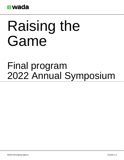

# Raising the Game

# Final program 2022 Annual Symposium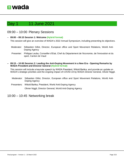

# 09:00 – 10:00 Plenary Sessions

## − **09:00 – 09:15 Session 1: Welcome (Hybrid format)**

This session will give an overview of WADA's 2022 Annual Symposium, including presenting its objectives.

Moderator: Sébastien Gillot, Director, European office and Sport Movement Relations, World Anti-Doping Agency

Presenter: Philippe Leuba, Conseiller d'Etat, Chef du Département de l'économie, de l'innovation et du sport, Canton de Vaud

− **09:15 – 10:00 Session 2: Leading the Anti-Doping Movement in a New Era - Opening Remarks by WADA President and Director General (Hybrid format)**

This session will include a keynote speech by WADA President, Witold Bańka, and provide an update on WADA's strategic priorities and the ongoing impact of COVID-19 by WADA Director General, Olivier Niggli.

- Moderator: Sébastien Gillot, Director, European office and Sport Movement Relations, World Anti-Doping Agency
- Presenters: Witold Bańka, President, World Anti-Doping Agency

Olivier Niggli, Director General, World Anti-Doping Agency

# 10:00 – 10:45 Networking break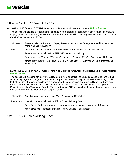

# 10:45 – 12:15 Plenary Sessions

#### − **10:45 – 11:30 Session 3: WADA Governance Reforms – Update and Impact (Hybrid format)**

This session will provide a report on the impact related to greater independence, athlete and National Anti-Doping Organization (NADO) involvement, and ethical conduct within WADA governance and operations. A roundtable discussion will follow.

Moderator: Florence Lefebvre-Rangeon, Deputy Director, Stakeholder Engagement and Partnerships, World Anti-Doping Agency

Presenters: Ulrich Haas, Chair, Working Group on the Review of WADA Governance Reforms

Rune Andersen, Chair, WADA NADO Expert Advisory Group

An Vermeersch, Member, Working Group on the Review of WADA Governance Reforms

James Carr, Deputy Executive Director, Association of Summer Olympic International **Federations** 

#### − **11:30 – 12:15 Session 4: A Compassionate Anti-Doping Framework - Supporting Vulnerable Athletes (Hybrid format)**

This session will examine athlete vulnerability factors from an ethical, psychological, and legal lens to help Anti-Doping Organizations (ADOs) identify and support athletes who may be vulnerable to doping. It will look at the idea of organizations taking a more supportive and positive approach to Clean Sport and how this may be beneficial for ADOs, as well as athletes and their support personnel (ASP) – 'Support and Prevent' rather than 'Catch and Punish'. The importance of ASP will also be a focus of the session and how best to support them to intervene and support athletes.

Moderator: Kady Kanouté Tounkara, Chair, WADA Education Committee

Presenters: Mike McNamee, Chair, WADA Ethics Expert Advisory Group

David Pavot, Professor, research chair on anti-doping in sport, University of Sherbrooke Andrea Petroczi, Professor of Public Health, University of Kingston

# 12:15 – 13:45 Networking lunch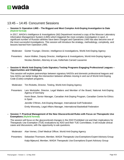

# 13:45 – 14:45 Concurrent Sessions

#### − **Session 5: Operation LIMS – The Biggest and Most Complex Anti-Doping Investigation to Date (Hybrid format)**

In 2017, WADA's Intelligence & Investigations (I&I) Department received a copy of the Moscow Laboratory Information Management System (LIMS) which triggered the most complex investigation in sport. A significant number of Russian athletes have been charged and Operations LIMS has also become one of the most successful investigations. This session will introduce the strategy, methodology, complexity, and lessons learned from Operation LIMS.

Moderator: Günter Younger, Director, Intelligence & Investigations, World Anti-Doping Agency

Presenters: Aaron Walker, Deputy Director, Intelligence & Investigations, World Anti-Doping Agency Nicolas Zbinden, Attorney at Law, Kellerhals Carrard Lausanne

#### − **Session 6: World Anti-Doping Code Signatory Testing Programs Engaging Professional Leagues – Opportunities and Challenges**

This session will explore partnerships between signatory NADOs and domestic professional leagues and how ADOs can better bridge the intersection between athletes moving in and out of World Anti-Doping Code (Code)-compliant programs.

Moderator: Tim Ricketts, Director, Testing, World Anti-Doping Agency

Presenters: Lars Mortsiefer, Director, Legal Matters and Member of the Board, National Anti-Doping Agency of Germany

> Kevin Bean, Senior Manager, Canadian Anti-Doping Program, Canadian Centre for Ethics in Sport

Jennifer O'Brien, Anti-Doping Manager, International Golf Federation

Emily Wisnosky, Legal Affairs Manager, International Basketball Federation

#### − **Session 7: Practical Management of the New Glucocorticoid Rules with Focus on Therapeutic Use Exemptions (Hybrid format)**

The session will focus on the glucocorticoid changes in the 2022 Prohibited List and their implications for Therapeutic Use Exemption (TUE) evaluations by ADO and their TUE Committees. It will include clinical cases and discussions, with the opportunity to ask questions.

Moderator: Alan Vernec, Chief Medical Officer, World Anti-Doping Agency

Presenters: Sebastian Thormann, Member, WADA Therapeutic Use Exemptions Expert Advisory Group Katja Mjøsund, Member, WADA Therapeutic Use Exemptions Expert Advisory Group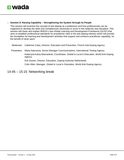

#### − **Session 8: Raising Capability – Strengthening the System through its People**

This session will examine the concept of anti-doping as a profession and how professionals can be supported to develop the skills and competencies necessary to excel in this relatively new discipline. This session will share and explain WADA's new Global Learning and Development Framework (GLDF) that aims to establish professional standards for practitioner roles in the anti-doping industry which will provide the foundation for learning and development activities that support and enhance practitioner capability, for the benefit of clean sport.

Moderator: Catherine Coley, Director, Education and Prevention, French Anti-Doping Agency

Presenters: Marta Nawrocka, Senior Manager Communications, International Testing Agency Katarzyna Katny-Mazowiecki, Coordinator, Global to Local in Education, World Anti-Doping Agency Erik Duiven, Director, Education, Doping Authority Netherlands

Colin Allen, Manager, Global to Local in Education, World Anti-Doping Agency

# 14:45 – 15:15 Networking break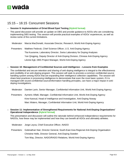

# 15:15 – 16:15 Concurrent Sessions

#### − **Session 9: Implementation of Dried Blood Spot Testing (Hybrid format)**

This panel discussion will provide an update on DBS and provide guidance to ADOs who are considering implementing DBS testing. This session will provide practical examples of ADOs' experiences, as well as review some of the current limitations.

Moderator: Marcia MacDonald, Associate Director, Research, World Anti-Doping Agency

Presenters: Matthew Fedoruk, Chief Science Officer, U.S. Anti-Doping Agency Tiia Kuuranne, Laboratory Director, Swiss Laboratory for Doping Analyses Yan Qingping, Deputy Director of Anti-Doping Division, Chinese Anti-Doping Agency Léonie Egli, DBS Project Manager, World Anti-Doping Agency

− **Session 10: Management of Confidential Sources and Intelligence – Lessons from Examples**

The confidential and secure retention and sharing of anti-doping intelligence is integral to the effectiveness and credibility of an anti-doping program. This session will seek to promote a common confidential source handling system among ADOs that are expanding their intelligence collection capabilities. The session will share best practices in processing intelligence to demonstrate that even the most basic system, if it is managed with sound confidential source/information handling principles, can have a major impact in antidoping investigations.

Moderator: Damien Larin, Senior Manager, Confidential Information Unit, World Anti-Doping Agency

Presenters: Aymeric Alfatli, Manager, Confidential Information Unit, World Anti-Doping Agency

Kine Karsrud, Head of Intelligence and Investigation, Anti-Doping Noway

Marc Waters, Manager, Confidential Information Unit, World Anti-Doping Agency

#### − **Session 11: Implementation of Strengthened Requirements for National Anti-Doping Organizations' Operational Independence (Hybrid format)**

This presentation and discussion will outline the rationale behind enhanced independence requirements for NADOs, how these may be implemented and how they can benefit all ADOs and ultimately athletes.

Moderator: Jorge Leyva, Chief Executive Officer, iNADO Presenters: Gobinathan Nair, Director General, South-East Asia Regional Anti-Doping Organisation Christine Helle, Director General, Anti-Doping Sweden

Tom May, Director, NADO/RADO Relations, World Anti-Doping Agency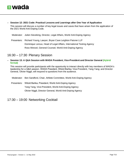

#### − **Session 12: 2021 Code: Practical Lessons and Learnings after One Year of Application**

This session will discuss a number of key legal issues and cases that have arisen from the application of the 2021 World Anti-Doping Code.

| Moderator: Julien Sieveking, Director, Legal Affairs, World Anti-Doping Agency |
|--------------------------------------------------------------------------------|
| Presenters: Richard Young, Lawyer, Bryan Cave Leighton Paisner LLP             |
| Dominique Leroux, Head of Legal Affairs, International Testing Agency          |
| Ross Wenzel, General Counsel, World Anti-Doping Agency                         |

# 16:30 – 17:30 Plenary Session

− **Session 13: A Q&A Session with WADA President, Vice-President and Director General (Hybrid format)**

This session will provide participants with the opportunity to interact directly with key members of WADA's leadership for a Q&A session. WADA President, Witold Bańka; Vice-President, Yang Yang; and Director General, Olivier Niggli, will respond to questions from the audience.

- Moderator: Ben Sandford, Chair, Athlete Committee, World Anti-Doping Agency
- Presenters: Witold Bańka, President, World Anti-Doping Agency Yang Yang, Vice-President, World Anti-Doping Agency Olivier Niggli, Director General, World Anti-Doping Agency

# 17:30 – 19:00 Networking Cocktail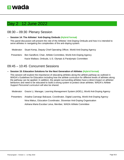# Day 2 12 June 2022

# 08:30 – 09:30 Plenary Session

# − **Session 14: The Athletes' Anti-Doping Ombuds (Hybrid format)**

This panel discussion will present the role of the Athletes' Anti-Doping Ombuds and how it is intended to serve athletes in navigating the complexities of the anti-doping system.

Moderator: Stuart Kemp, Deputy Chief Operating Officer, World Anti-Doping Agency

Presenters: Ben Sandford, Chair, Athlete Committee, World Anti-Doping Agency Kacie Wallace, Ombuds, U.S. Olympic & Paralympic Committee

# 09:45 – 10:45 Concurrent Sessions

## − **Session 15: Education Solutions for the Next Generation of Athletes (Hybrid format)**

This session will explore the importance of educating athletes along the *athlete pathway* as outlined in WADA's Guidelines for Education including how the *athlete curriculum* for different levels of athletes along the pathway can be applied. In addition, the people surrounding athletes have a direct impact on athletes' behaviors and need to be educated to build a strong system to protect clean athletes. WADA's *Athlete Support Personnel curriculum* will also be shared.

Moderator: Gracie Li, Manager, Learning Management System (ADEL), World Anti-Doping Agency

Presenters: Ariadna Camargo Balcazar, Coordinator, Digital Learning, World Anti-Doping Agency Nina Makuc, Education Coordinator, Slovenian Anti-Doping Organisation Adriana Maria Escobar Leiva, Member, WADA Athlete Committee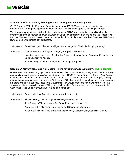## − **Session 16: WADA Capacity Building Project - Intelligence and Investigations**

On 31 January 2022, the European Commission approved WADA's application for funding for a project related to Anti-Doping Intelligence and Investigations Capacity and Capability Building in Europe.

This two-years project aims at developing and reinforcing NADOs' investigative capabilities but also at strengthening the cooperation between European Union law enforcement agencies and their respective NADOs*.* This session will present the objectives and actions of this project and how European NADOs and law enforcement agencies can participate.

Moderator: Günter Younger, Director, Intelligence & Investigation, World Anti-Doping Agency

Presenters: Mathieu Fonteneau, Project Manager, European Commission

Yves Le Lostecque, Head of Unit A3 – Erasmus Mundus, Sport, European Education and Culture Executive Agency

John McLaughlin, Investigator, World Anti-Doping Agency

#### − **Session 17: Governments and Anti-Doping – Time for Stronger Accountability? (Hybrid format)**

Governments are heavily engaged in the protection of clean sport. They play a key role in the anti-doping community, as co-founders of WADA, signatories to the UNESCO and/or Council of Europe Anti-Doping Conventions and holders of the national legal frameworks. Yet, the absence of stronger legally binding mechanisms creates a gap in the system. Athletes or ADOs that break the rules face severe consequences but there are no real consequences for a Government that would choose to not play by the rules. This session will discuss possible ways of filling this gap by making Governments more accountable to the Conventions, the Code or through a new binding mechanism.

Moderator: Duncan MacKay, Founding editor, insidethegames.biz

Presenters: Richard Young, Lawyer, Bryan Cave Leighton Paisner LLP Jean-François Vilotte, Lawyer, De Gaule Fleurance et Associés Kirsty Coventry, Minister of Sports, Arts and Recreation, Zimbabwe Julien Attuil-Kayser, Head of the Anti-Doping Unit, Sport Division, Council of Europe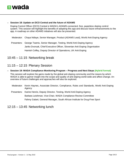

#### − **Session 18: Update on DCO Central and the future of ADAMS**

Doping Control Officer (DCO) Central is WADA's ADAMS-connected, free, paperless doping control system. This session will highlight the benefits of adopting this app and discuss future enhancements to the app. A roadmap on other ADAMS initiatives will also be presented.

Moderator: Chaya Ndiaye, Senior Manager, Product (ADAMS Lead), World Anti-Doping Agency

Presenters: George Tsamis, Senior Manager, Testing, World Anti-Doping Agency Janko Dvorsak, Chief Executive Officer, Slovenian Anti-Doping Organisation Hamish Coffey, Deputy Director of Operations, UK Anti-Doping

# 10:45 – 11:15 Networking break

# 11:15 – 12:15 Plenary Session

− **Session 19: WADA Compliance Monitoring Program – Progress and Next Steps (Hybrid format)**

This session will explore the gains made by the global anti-doping community and the means by which WADA is able to garner insight into the scope and quality of anti-doping world-wide and affect change. An overview of future challenges and approaches will also be explored.

Moderator: Kevin Haynes, Associate Director, Compliance, Rules and Standards, World Anti-Doping Agency

Presenters: Karine Henrie, Deputy Director, Testing, World Anti-Doping Agency Barbara Leishman, Vice-Chair, WADA Compliance Review Committee Fahmy Galant, General Manager, South African Institute for Drug-Free Sport

# 12:15 – 13:45 Networking lunch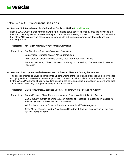

# 13:45 – 14:45 Concurrent Sessions

#### − **Session 20: Integrating Athlete Voices into Decision Making (Hybrid format)**

Recent WADA Governance reforms have the potential to serve athletes better by ensuring all voices are heard and that they are empowered and a part of the decision-making process. A discussion will be held on how other ADOs can ensure athletes are integrated into anti-doping programs constructively and in a meaningful way.

Moderator: Jeff Porter, Member, WADA Athlete Committee

Presenters: Ben Sandford, Chair, WADA Athlete Committee Gaby Ahrens, Member, WADA Athlete Committee Nick Paterson, Chief Executive Officer, Drug Free Sport New Zealand Brendan Williams, Chair, Athletes Advisory Commission, Commonwealth Games **Federation** 

#### − **Session 21: An Update on the Development of Tools to Measure Doping Prevalence**

This session intends to advance participants' understanding of the importance of assessing the prevalence of doping and the limitations of current approaches. The session will also demonstrate the work carried out by the WADA Prevalence of Doping Working Group in the development of a robust survey prevalence tool and how such tools may be implemented by ADOs in the future.

Moderator: Marcia MacDonald, Associate Director, Research, World Anti-Doping Agency

Presenters: Andrea Petroczi, Chair, Prevalence Working Group, World Anti-Doping Agency

Martial Saugy, Senior scientific advisor, Center of Research & Expertise in antidoping Sciences (REDs) of the University of Lausanne

Neil Robinson, Head of Science & Medical, International Testing Agency

Jesús Muñoz-Guerra, Head of Anti-Doping Department, Spanish Commission for the Fight Against Doping in Sports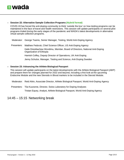#### − **Session 22: Alternative Sample Collection Programs (Hybrid format)**

COVID-19 has forced the anti-doping community to think 'outside the box' on how testing programs can be maintained in the face of travel and health restrictions. This session will update participants on several pilot programs trialed during the early stages of the pandemic and WADA's latest developments in alternative virtual sample collection programs.

Moderator: George Tsamis, Senior Manager, Testing, World Anti-Doping Agency

Presenters: Matthew Fedoruk, Chief Science Officer, US Anti-Doping Agency

Haile Diresibachew Wondimu, Member, Board of Directors, National Anti-Doping Organization of Ethiopia

Hamish Coffey, Deputy Director of Operations, UK Anti-Doping

Jenny Schulze, Manager, Testing and Science, Anti-Doping Sweden

## − **Session 23: Advancing the Athlete Biological Passport**

This session will update participants on the latest developments with the Athlete Biological Passport (ABP) and prepare them for changes planned for 2022 and beyond, including a first look at the upcoming Endocrine Module and the new Steroids in Blood markers to be included in the Steroid Module.

Moderator: Reid Aikin, Associate Director, Athlete Biological Passport, World Anti-Doping Agency

Presenters: Tiia Kuuranne, Director, Swiss Laboratory for Doping Analyses Tristan Equey, Analyst, Athlete Biological Passport, World Anti-Doping Agency

# 14:45 – 15:15 Networking break